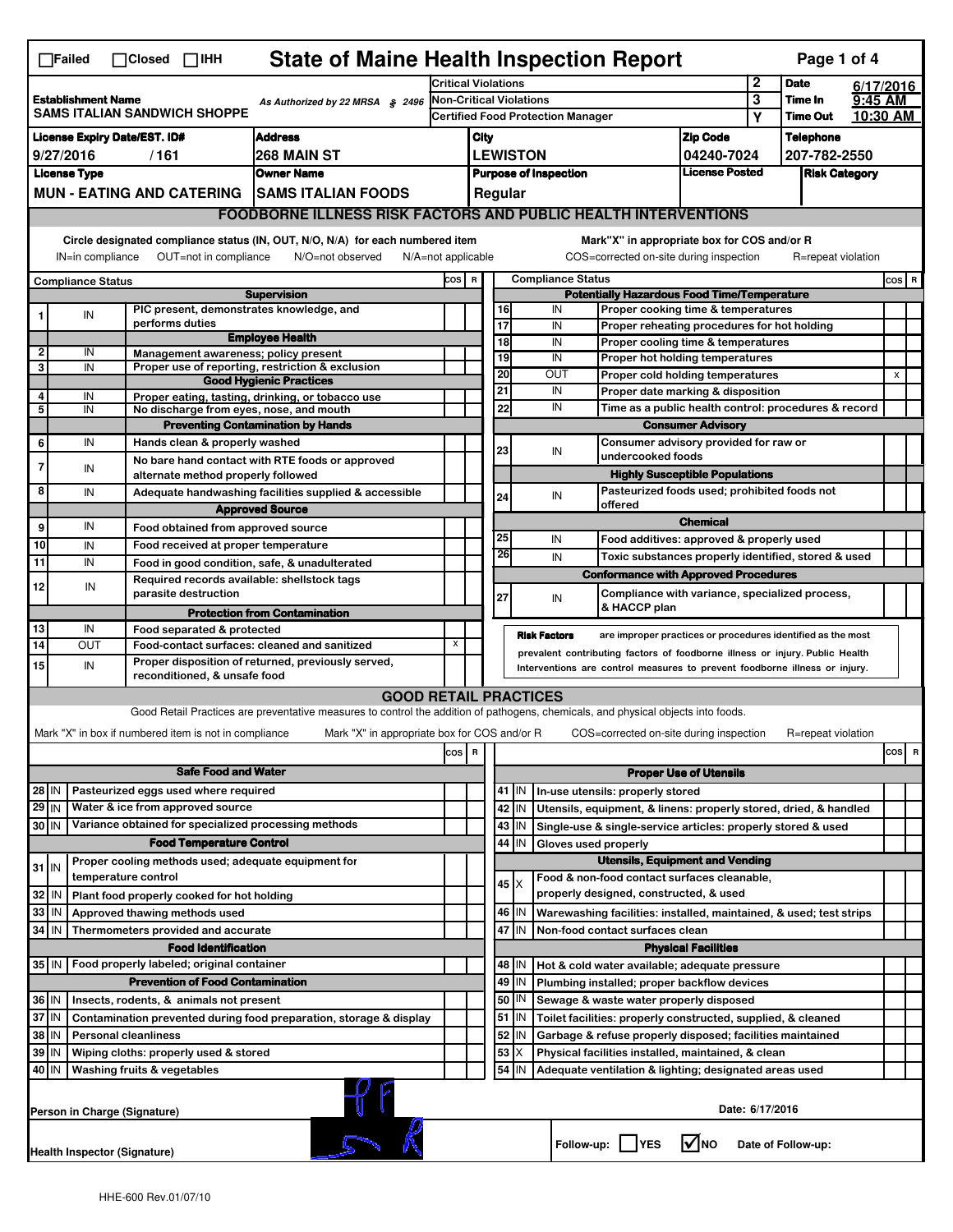| <b>State of Maine Health Inspection Report</b><br>Page 1 of 4<br>$\Box$ Failed<br>$\Box$ Closed $\Box$ IHH |                                                                                                                                                                                                                                                                                           |                                                                                                                                                                                        |                                                                  |                                                                                                                                   |                                                                                  |                 |                                          |                                                                              |                     |                                                                  |                                                                                   |                               |         |                      |          |           |
|------------------------------------------------------------------------------------------------------------|-------------------------------------------------------------------------------------------------------------------------------------------------------------------------------------------------------------------------------------------------------------------------------------------|----------------------------------------------------------------------------------------------------------------------------------------------------------------------------------------|------------------------------------------------------------------|-----------------------------------------------------------------------------------------------------------------------------------|----------------------------------------------------------------------------------|-----------------|------------------------------------------|------------------------------------------------------------------------------|---------------------|------------------------------------------------------------------|-----------------------------------------------------------------------------------|-------------------------------|---------|----------------------|----------|-----------|
|                                                                                                            |                                                                                                                                                                                                                                                                                           |                                                                                                                                                                                        |                                                                  | <b>Critical Violations</b>                                                                                                        |                                                                                  |                 |                                          |                                                                              |                     | $\mathbf 2$                                                      | <b>Date</b>                                                                       | 6/17/2016                     |         |                      |          |           |
| <b>Establishment Name</b><br>As Authorized by 22 MRSA § 2496<br><b>SAMS ITALIAN SANDWICH SHOPPE</b>        |                                                                                                                                                                                                                                                                                           |                                                                                                                                                                                        |                                                                  | <b>Non-Critical Violations</b>                                                                                                    |                                                                                  |                 |                                          |                                                                              |                     |                                                                  | 3                                                                                 | Time In                       | 9:45 AM |                      |          |           |
|                                                                                                            |                                                                                                                                                                                                                                                                                           |                                                                                                                                                                                        |                                                                  |                                                                                                                                   |                                                                                  |                 | <b>Certified Food Protection Manager</b> |                                                                              |                     |                                                                  |                                                                                   |                               | Υ       | <b>Time Out</b>      | 10:30 AM |           |
|                                                                                                            | <b>License Expiry Date/EST. ID#</b><br><b>Address</b>                                                                                                                                                                                                                                     |                                                                                                                                                                                        |                                                                  |                                                                                                                                   |                                                                                  |                 | City                                     |                                                                              |                     |                                                                  |                                                                                   | <b>Zip Code</b>               |         | <b>Telephone</b>     |          |           |
|                                                                                                            | 9/27/2016<br>268 MAIN ST<br>/161                                                                                                                                                                                                                                                          |                                                                                                                                                                                        |                                                                  |                                                                                                                                   |                                                                                  | <b>LEWISTON</b> |                                          |                                                                              |                     |                                                                  |                                                                                   | 04240-7024                    |         | 207-782-2550         |          |           |
|                                                                                                            | <b>License Type</b>                                                                                                                                                                                                                                                                       |                                                                                                                                                                                        |                                                                  | <b>Owner Name</b>                                                                                                                 |                                                                                  |                 | <b>Purpose of Inspection</b>             |                                                                              |                     |                                                                  |                                                                                   | <b>License Posted</b>         |         | <b>Risk Category</b> |          |           |
|                                                                                                            |                                                                                                                                                                                                                                                                                           |                                                                                                                                                                                        | <b>MUN - EATING AND CATERING</b>                                 | <b>SAMS ITALIAN FOODS</b>                                                                                                         | Regular<br><b>FOODBORNE ILLNESS RISK FACTORS AND PUBLIC HEALTH INTERVENTIONS</b> |                 |                                          |                                                                              |                     |                                                                  |                                                                                   |                               |         |                      |          |           |
|                                                                                                            |                                                                                                                                                                                                                                                                                           |                                                                                                                                                                                        |                                                                  |                                                                                                                                   |                                                                                  |                 |                                          |                                                                              |                     |                                                                  |                                                                                   |                               |         |                      |          |           |
|                                                                                                            | Circle designated compliance status (IN, OUT, N/O, N/A) for each numbered item<br>Mark"X" in appropriate box for COS and/or R<br>OUT=not in compliance<br>COS=corrected on-site during inspection<br>IN=in compliance<br>N/O=not observed<br>$N/A = not$ applicable<br>R=repeat violation |                                                                                                                                                                                        |                                                                  |                                                                                                                                   |                                                                                  |                 |                                          |                                                                              |                     |                                                                  |                                                                                   |                               |         |                      |          |           |
|                                                                                                            | <b>Compliance Status</b>                                                                                                                                                                                                                                                                  |                                                                                                                                                                                        |                                                                  |                                                                                                                                   |                                                                                  |                 | COS R<br><b>Compliance Status</b>        |                                                                              |                     |                                                                  |                                                                                   |                               |         |                      | $cos$ R  |           |
|                                                                                                            |                                                                                                                                                                                                                                                                                           |                                                                                                                                                                                        |                                                                  | <b>Supervision</b>                                                                                                                |                                                                                  |                 |                                          |                                                                              |                     |                                                                  | <b>Potentially Hazardous Food Time/Temperature</b>                                |                               |         |                      |          |           |
|                                                                                                            | IN                                                                                                                                                                                                                                                                                        |                                                                                                                                                                                        | PIC present, demonstrates knowledge, and<br>performs duties      |                                                                                                                                   |                                                                                  |                 |                                          | 16<br>17                                                                     | IN<br>IN            |                                                                  | Proper cooking time & temperatures                                                |                               |         |                      |          |           |
|                                                                                                            |                                                                                                                                                                                                                                                                                           |                                                                                                                                                                                        |                                                                  | <b>Employee Health</b>                                                                                                            |                                                                                  |                 |                                          | 18                                                                           | IN                  |                                                                  | Proper reheating procedures for hot holding<br>Proper cooling time & temperatures |                               |         |                      |          |           |
| $\mathbf{2}$                                                                                               | IN                                                                                                                                                                                                                                                                                        |                                                                                                                                                                                        | Management awareness; policy present                             |                                                                                                                                   |                                                                                  |                 |                                          | 19                                                                           | IN                  |                                                                  | <b>Proper hot holding temperatures</b>                                            |                               |         |                      |          |           |
| 3                                                                                                          | IN                                                                                                                                                                                                                                                                                        |                                                                                                                                                                                        |                                                                  | Proper use of reporting, restriction & exclusion<br><b>Good Hygienic Practices</b>                                                |                                                                                  |                 |                                          | 20                                                                           | OUT                 |                                                                  | Proper cold holding temperatures                                                  |                               |         |                      |          | x         |
| 4                                                                                                          | IN                                                                                                                                                                                                                                                                                        |                                                                                                                                                                                        |                                                                  | Proper eating, tasting, drinking, or tobacco use                                                                                  |                                                                                  |                 |                                          | 21                                                                           | IN                  |                                                                  | Proper date marking & disposition                                                 |                               |         |                      |          |           |
| 5                                                                                                          | IN                                                                                                                                                                                                                                                                                        |                                                                                                                                                                                        | No discharge from eyes, nose, and mouth                          |                                                                                                                                   |                                                                                  |                 |                                          | 22                                                                           | IN                  |                                                                  | Time as a public health control: procedures & record                              |                               |         |                      |          |           |
|                                                                                                            |                                                                                                                                                                                                                                                                                           |                                                                                                                                                                                        |                                                                  | <b>Preventing Contamination by Hands</b>                                                                                          |                                                                                  |                 |                                          |                                                                              |                     | <b>Consumer Advisory</b>                                         |                                                                                   |                               |         |                      |          |           |
| 6                                                                                                          | IN                                                                                                                                                                                                                                                                                        |                                                                                                                                                                                        | Hands clean & properly washed                                    |                                                                                                                                   |                                                                                  |                 |                                          | 23                                                                           | IN                  |                                                                  | Consumer advisory provided for raw or<br>undercooked foods                        |                               |         |                      |          |           |
|                                                                                                            | IN                                                                                                                                                                                                                                                                                        |                                                                                                                                                                                        | alternate method properly followed                               | No bare hand contact with RTE foods or approved                                                                                   |                                                                                  |                 |                                          |                                                                              |                     |                                                                  | <b>Highly Susceptible Populations</b>                                             |                               |         |                      |          |           |
| 8                                                                                                          | IN                                                                                                                                                                                                                                                                                        |                                                                                                                                                                                        |                                                                  | Adequate handwashing facilities supplied & accessible                                                                             |                                                                                  |                 |                                          |                                                                              |                     |                                                                  | Pasteurized foods used; prohibited foods not                                      |                               |         |                      |          |           |
|                                                                                                            |                                                                                                                                                                                                                                                                                           |                                                                                                                                                                                        |                                                                  | <b>Approved Source</b>                                                                                                            |                                                                                  |                 |                                          | 24                                                                           | IN                  |                                                                  | offered                                                                           |                               |         |                      |          |           |
| 9                                                                                                          | IN                                                                                                                                                                                                                                                                                        |                                                                                                                                                                                        | Food obtained from approved source                               |                                                                                                                                   |                                                                                  |                 |                                          |                                                                              |                     |                                                                  |                                                                                   | <b>Chemical</b>               |         |                      |          |           |
| 10                                                                                                         | IN                                                                                                                                                                                                                                                                                        |                                                                                                                                                                                        | Food received at proper temperature                              |                                                                                                                                   |                                                                                  |                 |                                          | 25                                                                           | IN                  |                                                                  | Food additives: approved & properly used                                          |                               |         |                      |          |           |
| 11                                                                                                         | IN                                                                                                                                                                                                                                                                                        |                                                                                                                                                                                        | Food in good condition, safe, & unadulterated                    |                                                                                                                                   |                                                                                  |                 |                                          | 26                                                                           | IN                  |                                                                  | Toxic substances properly identified, stored & used                               |                               |         |                      |          |           |
| 12                                                                                                         |                                                                                                                                                                                                                                                                                           |                                                                                                                                                                                        | Required records available: shellstock tags                      |                                                                                                                                   |                                                                                  |                 |                                          |                                                                              |                     |                                                                  | <b>Conformance with Approved Procedures</b>                                       |                               |         |                      |          |           |
|                                                                                                            | IN                                                                                                                                                                                                                                                                                        |                                                                                                                                                                                        | parasite destruction                                             |                                                                                                                                   |                                                                                  |                 |                                          | 27                                                                           | IN                  |                                                                  | Compliance with variance, specialized process,                                    |                               |         |                      |          |           |
|                                                                                                            |                                                                                                                                                                                                                                                                                           |                                                                                                                                                                                        |                                                                  | <b>Protection from Contamination</b>                                                                                              |                                                                                  |                 |                                          |                                                                              |                     |                                                                  | & HACCP plan                                                                      |                               |         |                      |          |           |
| 13<br>14                                                                                                   | IN                                                                                                                                                                                                                                                                                        |                                                                                                                                                                                        | Food separated & protected                                       |                                                                                                                                   | X                                                                                |                 |                                          |                                                                              | <b>Risk Factors</b> |                                                                  | are improper practices or procedures identified as the most                       |                               |         |                      |          |           |
|                                                                                                            | OUT                                                                                                                                                                                                                                                                                       |                                                                                                                                                                                        | Food-contact surfaces: cleaned and sanitized                     |                                                                                                                                   |                                                                                  |                 |                                          | prevalent contributing factors of foodborne illness or injury. Public Health |                     |                                                                  |                                                                                   |                               |         |                      |          |           |
|                                                                                                            | Proper disposition of returned, previously served,<br>15<br>IN<br>Interventions are control measures to prevent foodborne illness or injury.<br>reconditioned, & unsafe food                                                                                                              |                                                                                                                                                                                        |                                                                  |                                                                                                                                   |                                                                                  |                 |                                          |                                                                              |                     |                                                                  |                                                                                   |                               |         |                      |          |           |
|                                                                                                            |                                                                                                                                                                                                                                                                                           |                                                                                                                                                                                        |                                                                  | <b>GOOD RETAIL PRACTICES</b>                                                                                                      |                                                                                  |                 |                                          |                                                                              |                     |                                                                  |                                                                                   |                               |         |                      |          |           |
|                                                                                                            |                                                                                                                                                                                                                                                                                           |                                                                                                                                                                                        |                                                                  | Good Retail Practices are preventative measures to control the addition of pathogens, chemicals, and physical objects into foods. |                                                                                  |                 |                                          |                                                                              |                     |                                                                  |                                                                                   |                               |         |                      |          |           |
|                                                                                                            |                                                                                                                                                                                                                                                                                           |                                                                                                                                                                                        | Mark "X" in box if numbered item is not in compliance            | Mark "X" in appropriate box for COS and/or R                                                                                      |                                                                                  |                 |                                          |                                                                              |                     |                                                                  | COS=corrected on-site during inspection                                           |                               |         | R=repeat violation   |          |           |
|                                                                                                            |                                                                                                                                                                                                                                                                                           |                                                                                                                                                                                        |                                                                  |                                                                                                                                   | COS R                                                                            |                 |                                          |                                                                              |                     |                                                                  |                                                                                   |                               |         |                      |          | cosl<br>R |
|                                                                                                            |                                                                                                                                                                                                                                                                                           |                                                                                                                                                                                        | <b>Safe Food and Water</b>                                       |                                                                                                                                   |                                                                                  |                 |                                          |                                                                              |                     |                                                                  |                                                                                   | <b>Proper Use of Utensils</b> |         |                      |          |           |
| $28$ IN                                                                                                    |                                                                                                                                                                                                                                                                                           |                                                                                                                                                                                        | Pasteurized eggs used where required                             |                                                                                                                                   |                                                                                  |                 |                                          | 41   IN                                                                      |                     | In-use utensils: properly stored                                 |                                                                                   |                               |         |                      |          |           |
| $29$ IN                                                                                                    |                                                                                                                                                                                                                                                                                           |                                                                                                                                                                                        | Water & ice from approved source                                 |                                                                                                                                   |                                                                                  |                 |                                          | 42<br>IN                                                                     |                     | Utensils, equipment, & linens: properly stored, dried, & handled |                                                                                   |                               |         |                      |          |           |
| 30 IN                                                                                                      |                                                                                                                                                                                                                                                                                           |                                                                                                                                                                                        | Variance obtained for specialized processing methods             |                                                                                                                                   |                                                                                  |                 |                                          | 43<br>IN                                                                     |                     |                                                                  | Single-use & single-service articles: properly stored & used                      |                               |         |                      |          |           |
|                                                                                                            |                                                                                                                                                                                                                                                                                           |                                                                                                                                                                                        | <b>Food Temperature Control</b>                                  |                                                                                                                                   |                                                                                  |                 |                                          | 44<br>IN                                                                     |                     | Gloves used properly                                             |                                                                                   |                               |         |                      |          |           |
| $31$ IN                                                                                                    |                                                                                                                                                                                                                                                                                           |                                                                                                                                                                                        | Proper cooling methods used; adequate equipment for              |                                                                                                                                   |                                                                                  |                 |                                          | <b>Utensils, Equipment and Vending</b>                                       |                     |                                                                  |                                                                                   |                               |         |                      |          |           |
|                                                                                                            |                                                                                                                                                                                                                                                                                           |                                                                                                                                                                                        | temperature control                                              |                                                                                                                                   |                                                                                  |                 |                                          | 45   X                                                                       |                     |                                                                  | Food & non-food contact surfaces cleanable,                                       |                               |         |                      |          |           |
| 32                                                                                                         | IN                                                                                                                                                                                                                                                                                        |                                                                                                                                                                                        | Plant food properly cooked for hot holding                       |                                                                                                                                   |                                                                                  |                 |                                          |                                                                              |                     |                                                                  | properly designed, constructed, & used                                            |                               |         |                      |          |           |
| 33<br>34 IN                                                                                                | IN                                                                                                                                                                                                                                                                                        |                                                                                                                                                                                        | Approved thawing methods used                                    |                                                                                                                                   |                                                                                  |                 |                                          | 46<br>IN<br>47 IN                                                            |                     |                                                                  | Warewashing facilities: installed, maintained, & used; test strips                |                               |         |                      |          |           |
|                                                                                                            |                                                                                                                                                                                                                                                                                           |                                                                                                                                                                                        | Thermometers provided and accurate<br><b>Food Identification</b> |                                                                                                                                   |                                                                                  |                 |                                          |                                                                              |                     |                                                                  | Non-food contact surfaces clean                                                   | <b>Physical Facilities</b>    |         |                      |          |           |
| 35   IN                                                                                                    |                                                                                                                                                                                                                                                                                           |                                                                                                                                                                                        | Food properly labeled; original container                        |                                                                                                                                   |                                                                                  |                 |                                          | 48   IN                                                                      |                     |                                                                  | Hot & cold water available; adequate pressure                                     |                               |         |                      |          |           |
|                                                                                                            |                                                                                                                                                                                                                                                                                           |                                                                                                                                                                                        | <b>Prevention of Food Contamination</b>                          |                                                                                                                                   |                                                                                  |                 |                                          | 49<br>IN                                                                     |                     |                                                                  | Plumbing installed; proper backflow devices                                       |                               |         |                      |          |           |
| 36 IN                                                                                                      |                                                                                                                                                                                                                                                                                           |                                                                                                                                                                                        | Insects, rodents, & animals not present                          |                                                                                                                                   |                                                                                  |                 |                                          | 50   IN                                                                      |                     |                                                                  |                                                                                   |                               |         |                      |          |           |
| 37 IN                                                                                                      |                                                                                                                                                                                                                                                                                           | Sewage & waste water properly disposed<br>$51$ M<br>Contamination prevented during food preparation, storage & display<br>Toilet facilities: properly constructed, supplied, & cleaned |                                                                  |                                                                                                                                   |                                                                                  |                 |                                          |                                                                              |                     |                                                                  |                                                                                   |                               |         |                      |          |           |
| 38 IN                                                                                                      |                                                                                                                                                                                                                                                                                           | 52<br><b>Personal cleanliness</b><br>IN<br>Garbage & refuse properly disposed; facilities maintained                                                                                   |                                                                  |                                                                                                                                   |                                                                                  |                 |                                          |                                                                              |                     |                                                                  |                                                                                   |                               |         |                      |          |           |
| 39 IN                                                                                                      |                                                                                                                                                                                                                                                                                           | 53<br>Wiping cloths: properly used & stored<br>Physical facilities installed, maintained, & clean                                                                                      |                                                                  |                                                                                                                                   |                                                                                  |                 |                                          |                                                                              |                     |                                                                  |                                                                                   |                               |         |                      |          |           |
| 40 IN                                                                                                      |                                                                                                                                                                                                                                                                                           |                                                                                                                                                                                        | Washing fruits & vegetables                                      |                                                                                                                                   |                                                                                  |                 |                                          | 54<br>IN                                                                     |                     |                                                                  | Adequate ventilation & lighting; designated areas used                            |                               |         |                      |          |           |
|                                                                                                            | Date: 6/17/2016<br>Person in Charge (Signature)                                                                                                                                                                                                                                           |                                                                                                                                                                                        |                                                                  |                                                                                                                                   |                                                                                  |                 |                                          |                                                                              |                     |                                                                  |                                                                                   |                               |         |                      |          |           |
|                                                                                                            | l√lno<br>Follow-up:  <br><b>IYES</b><br>Date of Follow-up:<br>Health Inspector (Signature)                                                                                                                                                                                                |                                                                                                                                                                                        |                                                                  |                                                                                                                                   |                                                                                  |                 |                                          |                                                                              |                     |                                                                  |                                                                                   |                               |         |                      |          |           |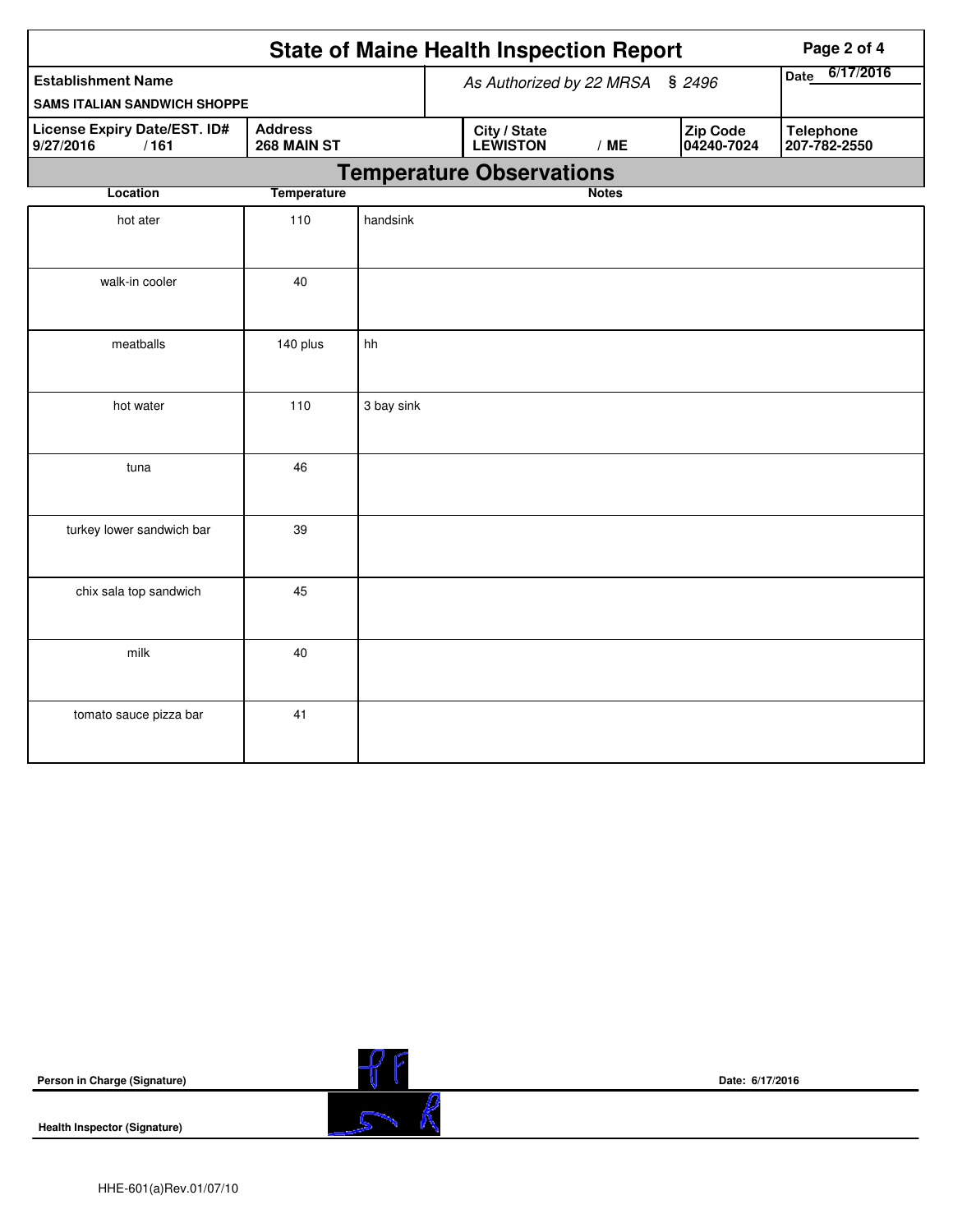|                                                                                    | <b>State of Maine Health Inspection Report</b> |                                 | Page 2 of 4 |                                 |              |                   |                        |                                  |
|------------------------------------------------------------------------------------|------------------------------------------------|---------------------------------|-------------|---------------------------------|--------------|-------------------|------------------------|----------------------------------|
| <b>Establishment Name</b>                                                          | As Authorized by 22 MRSA<br>\$2496             |                                 |             |                                 |              | 6/17/2016<br>Date |                        |                                  |
| <b>SAMS ITALIAN SANDWICH SHOPPE</b>                                                |                                                |                                 |             |                                 |              |                   |                        |                                  |
| License Expiry Date/EST. ID#<br><b>Address</b><br>9/27/2016<br>/161<br>268 MAIN ST |                                                |                                 |             | City / State<br><b>LEWISTON</b> |              | /ME               | Zip Code<br>04240-7024 | <b>Telephone</b><br>207-782-2550 |
|                                                                                    |                                                | <b>Temperature Observations</b> |             |                                 |              |                   |                        |                                  |
| Location                                                                           | <b>Temperature</b>                             |                                 |             |                                 | <b>Notes</b> |                   |                        |                                  |
| hot ater                                                                           | 110                                            | handsink                        |             |                                 |              |                   |                        |                                  |
| walk-in cooler                                                                     | 40                                             |                                 |             |                                 |              |                   |                        |                                  |
| meatballs                                                                          | 140 plus                                       | hh                              |             |                                 |              |                   |                        |                                  |
| hot water                                                                          | 110                                            | 3 bay sink                      |             |                                 |              |                   |                        |                                  |
| tuna                                                                               | 46                                             |                                 |             |                                 |              |                   |                        |                                  |
| turkey lower sandwich bar                                                          | 39                                             |                                 |             |                                 |              |                   |                        |                                  |
| chix sala top sandwich                                                             | 45                                             |                                 |             |                                 |              |                   |                        |                                  |
| milk                                                                               | 40                                             |                                 |             |                                 |              |                   |                        |                                  |
| tomato sauce pizza bar                                                             | 41                                             |                                 |             |                                 |              |                   |                        |                                  |

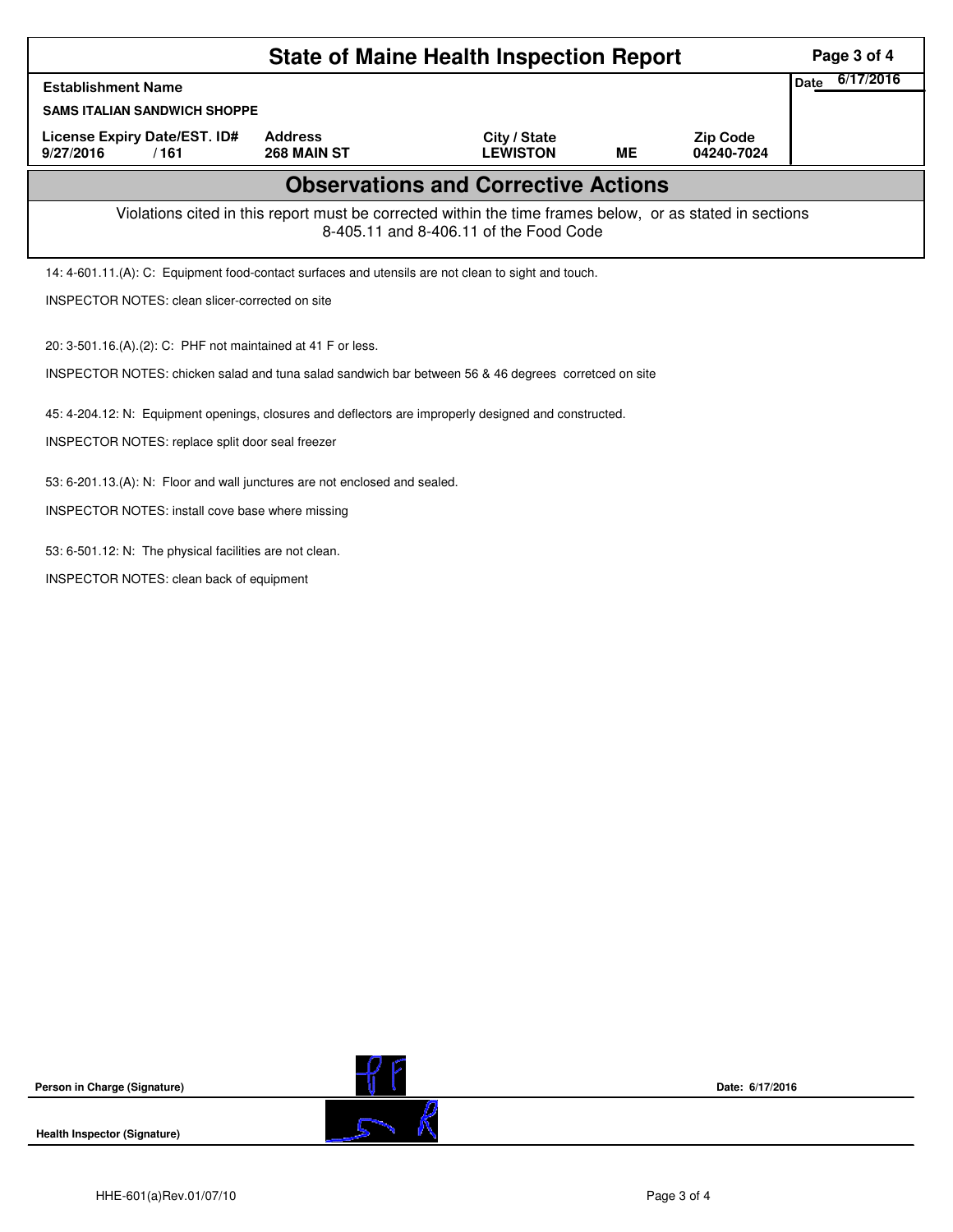|                                                                                                                                                    | Page 3 of 4                                                  |                                 |           |                               |                   |  |  |  |  |
|----------------------------------------------------------------------------------------------------------------------------------------------------|--------------------------------------------------------------|---------------------------------|-----------|-------------------------------|-------------------|--|--|--|--|
| <b>Establishment Name</b>                                                                                                                          |                                                              |                                 |           |                               | 6/17/2016<br>Date |  |  |  |  |
| <b>SAMS ITALIAN SANDWICH SHOPPE</b>                                                                                                                |                                                              |                                 |           |                               |                   |  |  |  |  |
| License Expiry Date/EST. ID#<br>9/27/2016<br>/161                                                                                                  | <b>Address</b><br>268 MAIN ST                                | City / State<br><b>LEWISTON</b> | <b>ME</b> | <b>Zip Code</b><br>04240-7024 |                   |  |  |  |  |
| <b>Observations and Corrective Actions</b>                                                                                                         |                                                              |                                 |           |                               |                   |  |  |  |  |
| Violations cited in this report must be corrected within the time frames below, or as stated in sections<br>8-405.11 and 8-406.11 of the Food Code |                                                              |                                 |           |                               |                   |  |  |  |  |
| 14: 4-601.11.(A): C: Equipment food-contact surfaces and utensils are not clean to sight and touch.                                                |                                                              |                                 |           |                               |                   |  |  |  |  |
| INSPECTOR NOTES: clean slicer-corrected on site                                                                                                    |                                                              |                                 |           |                               |                   |  |  |  |  |
|                                                                                                                                                    | 20: 3-501.16.(A).(2): C: PHF not maintained at 41 F or less. |                                 |           |                               |                   |  |  |  |  |
| INSPECTOR NOTES: chicken salad and tuna salad sandwich bar between 56 & 46 degrees corretced on site                                               |                                                              |                                 |           |                               |                   |  |  |  |  |
| 45: 4-204.12: N: Equipment openings, closures and deflectors are improperly designed and constructed.                                              |                                                              |                                 |           |                               |                   |  |  |  |  |
| INSPECTOR NOTES: replace split door seal freezer                                                                                                   |                                                              |                                 |           |                               |                   |  |  |  |  |
| 53: 6-201.13.(A): N: Floor and wall junctures are not enclosed and sealed.                                                                         |                                                              |                                 |           |                               |                   |  |  |  |  |
| INSPECTOR NOTES: install cove base where missing                                                                                                   |                                                              |                                 |           |                               |                   |  |  |  |  |
| 53: 6-501.12: N: The physical facilities are not clean.                                                                                            |                                                              |                                 |           |                               |                   |  |  |  |  |
| INSPECTOR NOTES: clean back of equipment                                                                                                           |                                                              |                                 |           |                               |                   |  |  |  |  |